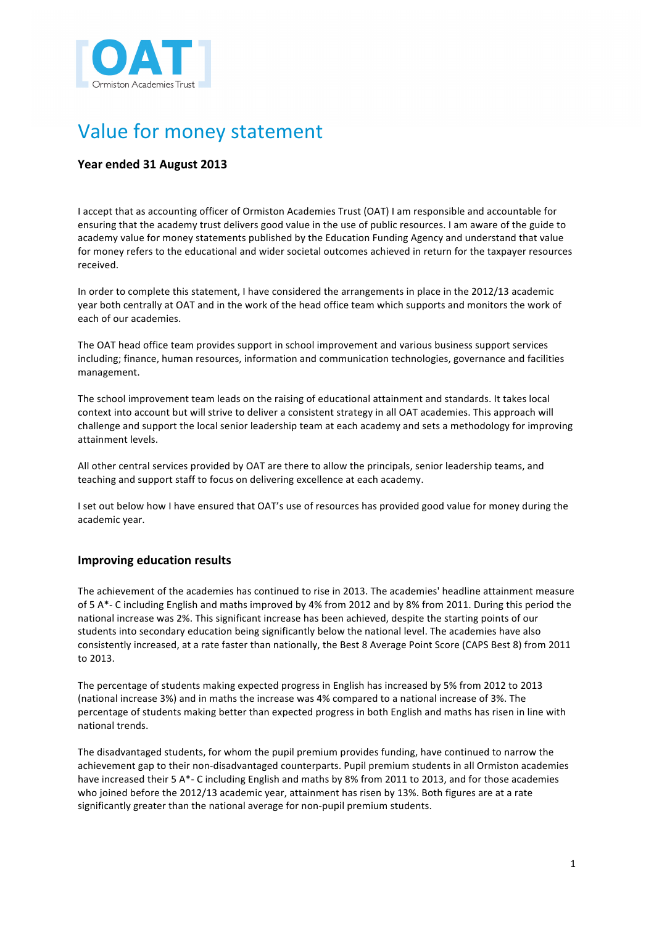

# Value for money statement

## **Year ended 31 August 2013**

I accept that as accounting officer of Ormiston Academies Trust (OAT) I am responsible and accountable for ensuring that the academy trust delivers good value in the use of public resources. I am aware of the guide to academy value for money statements published by the Education Funding Agency and understand that value for money refers to the educational and wider societal outcomes achieved in return for the taxpayer resources received.

In order to complete this statement, I have considered the arrangements in place in the 2012/13 academic year both centrally at OAT and in the work of the head office team which supports and monitors the work of each of our academies.

The OAT head office team provides support in school improvement and various business support services including; finance, human resources, information and communication technologies, governance and facilities management.

The school improvement team leads on the raising of educational attainment and standards. It takes local context into account but will strive to deliver a consistent strategy in all OAT academies. This approach will challenge and support the local senior leadership team at each academy and sets a methodology for improving attainment levels.

All other central services provided by OAT are there to allow the principals, senior leadership teams, and teaching and support staff to focus on delivering excellence at each academy.

I set out below how I have ensured that OAT's use of resources has provided good value for money during the academic year.

## **Improving education results**

The achievement of the academies has continued to rise in 2013. The academies' headline attainment measure of 5 A\*- C including English and maths improved by 4% from 2012 and by 8% from 2011. During this period the national increase was 2%. This significant increase has been achieved, despite the starting points of our students into secondary education being significantly below the national level. The academies have also consistently increased, at a rate faster than nationally, the Best 8 Average Point Score (CAPS Best 8) from 2011 to 2013.

The percentage of students making expected progress in English has increased by 5% from 2012 to 2013 (national increase 3%) and in maths the increase was 4% compared to a national increase of 3%. The percentage of students making better than expected progress in both English and maths has risen in line with national trends.

The disadvantaged students, for whom the pupil premium provides funding, have continued to narrow the achievement gap to their non-disadvantaged counterparts. Pupil premium students in all Ormiston academies have increased their 5  $A^*$ - C including English and maths by 8% from 2011 to 2013, and for those academies who joined before the 2012/13 academic year, attainment has risen by 13%. Both figures are at a rate significantly greater than the national average for non-pupil premium students.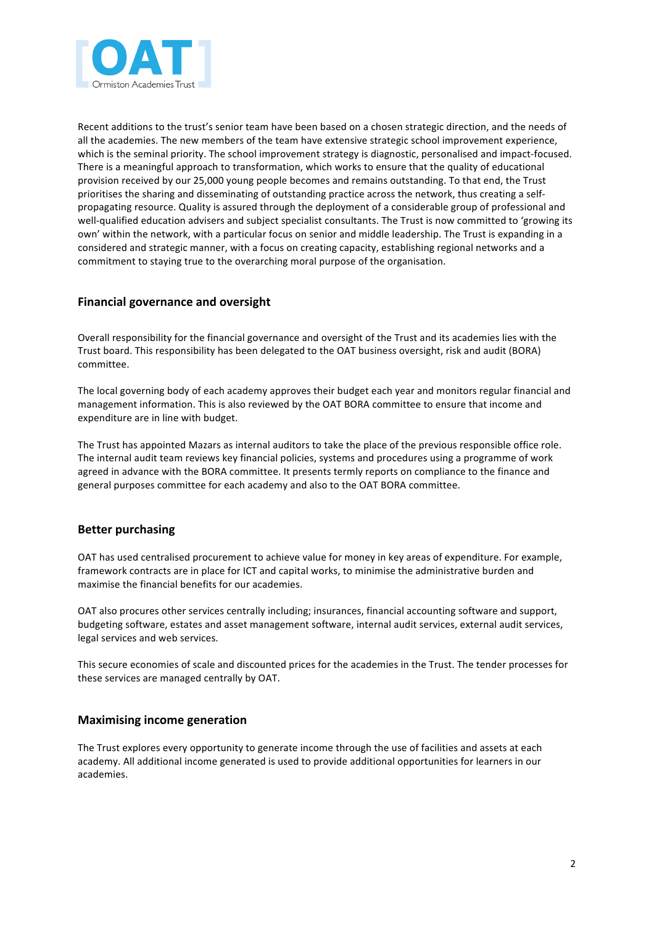

Recent additions to the trust's senior team have been based on a chosen strategic direction, and the needs of all the academies. The new members of the team have extensive strategic school improvement experience, which is the seminal priority. The school improvement strategy is diagnostic, personalised and impact-focused. There is a meaningful approach to transformation, which works to ensure that the quality of educational provision received by our 25,000 young people becomes and remains outstanding. To that end, the Trust prioritises the sharing and disseminating of outstanding practice across the network, thus creating a selfpropagating resource. Quality is assured through the deployment of a considerable group of professional and well-qualified education advisers and subject specialist consultants. The Trust is now committed to 'growing its own' within the network, with a particular focus on senior and middle leadership. The Trust is expanding in a considered and strategic manner, with a focus on creating capacity, establishing regional networks and a commitment to staying true to the overarching moral purpose of the organisation.

#### **Financial governance and oversight**

Overall responsibility for the financial governance and oversight of the Trust and its academies lies with the Trust board. This responsibility has been delegated to the OAT business oversight, risk and audit (BORA) committee.

The local governing body of each academy approves their budget each year and monitors regular financial and management information. This is also reviewed by the OAT BORA committee to ensure that income and expenditure are in line with budget.

The Trust has appointed Mazars as internal auditors to take the place of the previous responsible office role. The internal audit team reviews key financial policies, systems and procedures using a programme of work agreed in advance with the BORA committee. It presents termly reports on compliance to the finance and general purposes committee for each academy and also to the OAT BORA committee.

## **Better purchasing**

OAT has used centralised procurement to achieve value for money in key areas of expenditure. For example, framework contracts are in place for ICT and capital works, to minimise the administrative burden and maximise the financial benefits for our academies.

OAT also procures other services centrally including; insurances, financial accounting software and support, budgeting software, estates and asset management software, internal audit services, external audit services, legal services and web services.

This secure economies of scale and discounted prices for the academies in the Trust. The tender processes for these services are managed centrally by OAT.

#### **Maximising income generation**

The Trust explores every opportunity to generate income through the use of facilities and assets at each academy. All additional income generated is used to provide additional opportunities for learners in our academies.